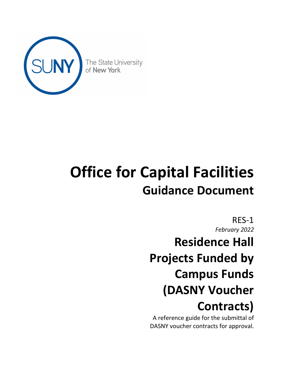

# **Office for Capital Facilities Guidance Document**

RES-1 *February 2022*

**Residence Hall Projects Funded by Campus Funds (DASNY Voucher Contracts)**

A reference guide for the submittal of DASNY voucher contracts for approval.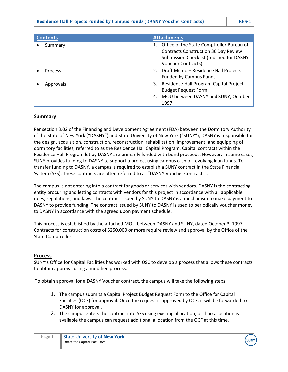| <b>Contents</b> | <b>Attachments</b>                                                                       |
|-----------------|------------------------------------------------------------------------------------------|
| Summary         | Office of the State Comptroller Bureau of<br><b>Contracts Construction 30 Day Review</b> |
|                 | Submission Checklist (redlined for DASNY                                                 |
|                 | <b>Voucher Contracts)</b>                                                                |
| Process         | 2. Draft Memo - Residence Hall Projects                                                  |
|                 | <b>Funded by Campus Funds</b>                                                            |
| Approvals       | 3. Residence Hall Program Capital Project                                                |
|                 | <b>Budget Request Form</b>                                                               |
|                 | 4. MOU between DASNY and SUNY, October                                                   |
|                 | 1997                                                                                     |

#### **Summary**

Per section 3.02 of the Financing and Development Agreement (FDA) between the Dormitory Authority of the State of New York ("DASNY") and State University of New York ("SUNY"), DASNY is responsible for the design, acquisition, construction, reconstruction, rehabilitation, improvement, and equipping of dormitory facilities, referred to as the Residence Hall Capital Program. Capital contracts within the Residence Hall Program let by DASNY are primarily funded with bond proceeds. However, in some cases, SUNY provides funding to DASNY to support a project using campus cash or revolving loan funds. To transfer funding to DASNY, a campus is required to establish a SUNY contract in the State Financial System (SFS). These contracts are often referred to as "DASNY Voucher Contracts".

The campus is not entering into a contract for goods or services with vendors. DASNY is the contracting entity procuring and letting contracts with vendors for this project in accordance with all applicable rules, regulations, and laws. The contract issued by SUNY to DASNY is a mechanism to make payment to DASNY to provide funding. The contract issued by SUNY to DASNY is used to periodically voucher money to DASNY in accordance with the agreed upon payment schedule.

This process is established by the attached MOU between DASNY and SUNY, dated October 3, 1997. Contracts for construction costs of \$250,000 or more require review and approval by the Office of the State Comptroller.

### **Process**

SUNY's Office for Capital Facilities has worked with OSC to develop a process that allows these contracts to obtain approval using a modified process.

To obtain approval for a DASNY Voucher contract, the campus will take the following steps:

- 1. The campus submits a Capital Project Budget Request Form to the Office for Capital Facilities (OCF) for approval. Once the request is approved by OCF, it will be forwarded to DASNY for approval.
- 2. The campus enters the contract into SFS using existing allocation, or if no allocation is available the campus can request additional allocation from the OCF at this time.